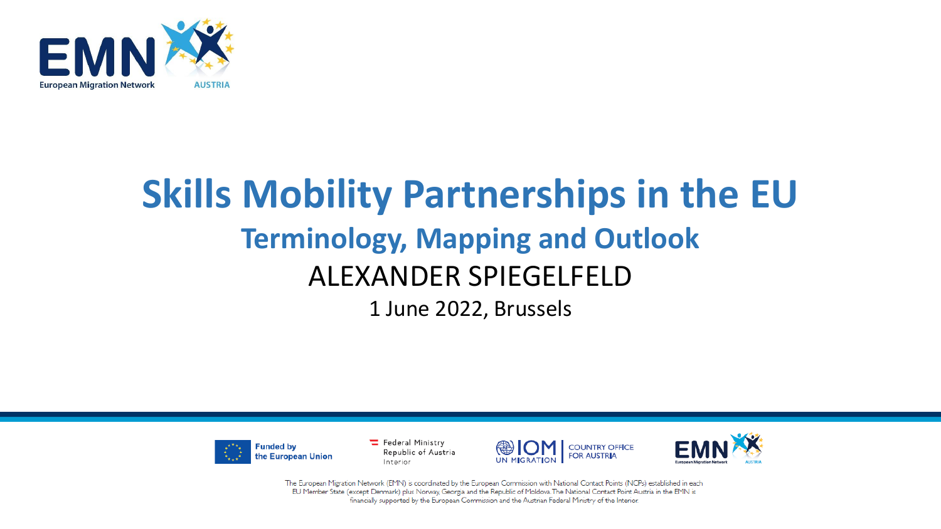

### **Skills Mobility Partnerships in the EU Terminology, Mapping and Outlook** ALEXANDER SPIEGELFELD 1 June 2022, Brussels



Federal Ministry Republic of Austria Interior





The European Migration Network (EMN) is coordinated by the European Commission with National Contact Points (NCPs) established in each EU Member State (except Denmark) plus Norway, Georgia and the Republic of Moldova. The National Contact Point Austria in the EMN is financially supported by the European Commission and the Austrian Federal Ministry of the Interior.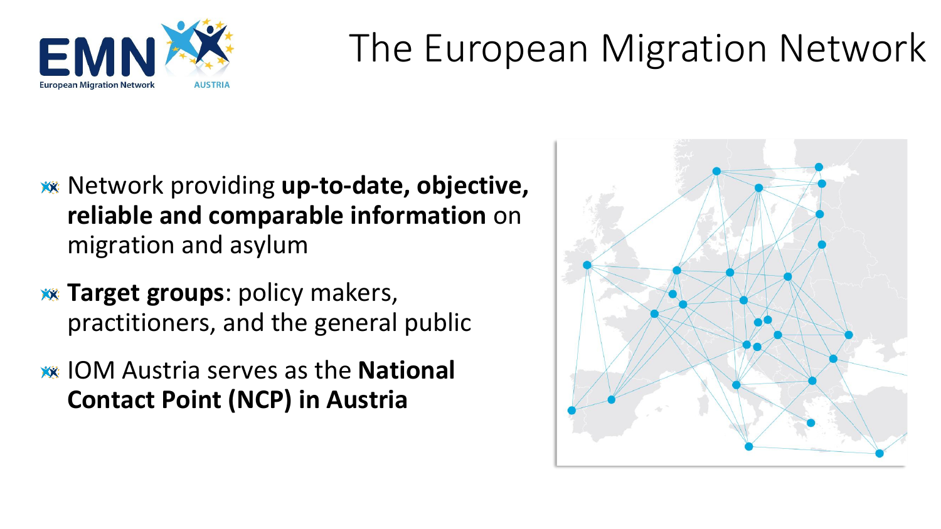

# The European Migration Network

- Network providing **up-to-date, objective, reliable and comparable information** on migration and asylum
- **EXA:** Target groups: policy makers, practitioners, and the general public
- IOM Austria serves as the **National Contact Point (NCP) in Austria**

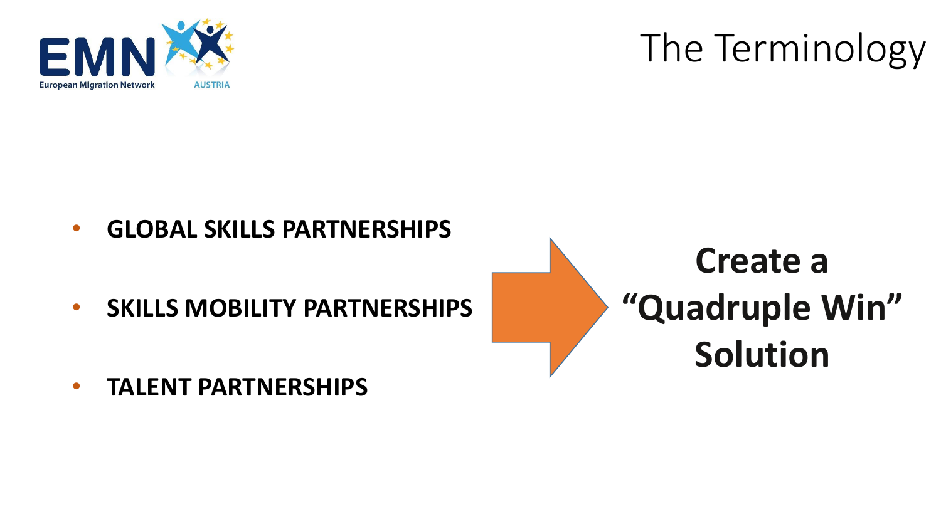

# The Terminology

- **GLOBAL SKILLS PARTNERSHIPS**
- **SKILLS MOBILITY PARTNERSHIPS**



• **TALENT PARTNERSHIPS**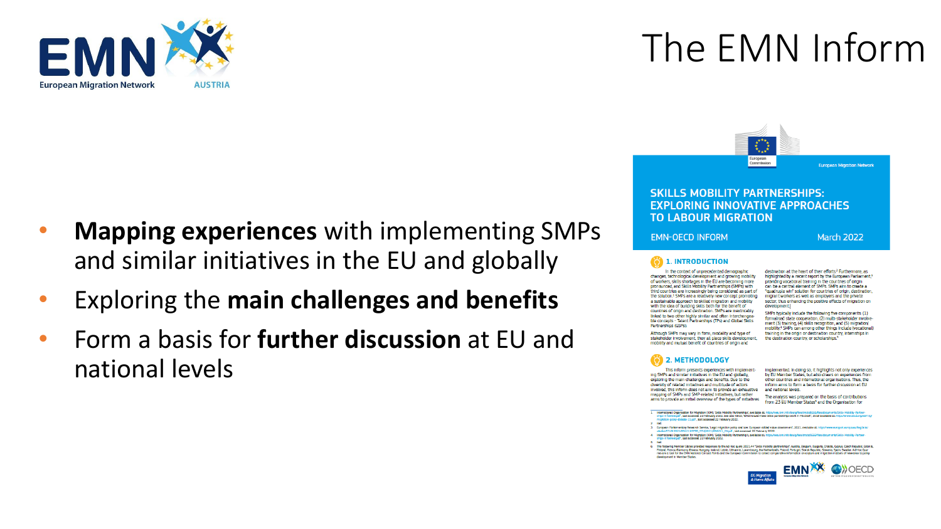

# The EMN Inform

- **Mapping experiences** with implementing SMPs and similar initiatives in the EU and globally
- Exploring the **main challenges and benefits**
- Form a basis for **further discussion** at EU and national levels

**SKILLS MOBILITY PARTNERSHIPS: EXPLORING INNOVATIVE APPROACHES TO LABOUR MIGRATION** 

European<br>Commission

**EMN-OECD INFORM** 

March 2022

**European Migration Network** 

#### **O 1. INTRODUCTION**

In the context of unprecedented demographic changes, technological development and growing mobility of workers, skills shortages in the EU are becoming more propounced and Skills Mobility Partnerships (SMPs) with third countries are increasingly being considered as part of the solution.<sup>1</sup> SMPs are a relatively new concept promoting a sustainable approach to skilled migration and mobility with the idea of building skills both for the benefit of countries of origin and destination. SMPs are inextricably linked to two other highly similar and often interchangeable concepts - Talent Partnerships (TPs) and Global Skills Partnerships (GSPs).

destination at the heart of their efforts<sup>2</sup> Furthermore, as highlighted by a recent report by the European Parliament,<sup>3</sup> providing vocational training in the countries of origin can be a central element of SMPs. SMPs aim to create a "quadruple win" solution for countries of origin, destination, migrant workers as well as employers and the private sector, thus enhancing the positive effects of migration on development

SMPs typically include the following five components: (1) formalised state cooperation, (2) multi-stakeholder involvement (3) training, (4) skills recognition, and (5) migration/ mobility.<sup>4</sup> SMPs can among other things include (vocational) training in the origin or destination country, internships in the destination country, or scholarships.

Although SMPs may vary in form, modality and type of stakeholder involvement, they all place skills development, mobility and mutual benefit of countries of origin and

#### 2. METHODOLOGY

This inform presents experiences with implementing SMPs and similar initiatives in the EU and globally, exploring the main challenges and benefits. Due to the diversity of related initiatives and multitude of actors Involved, this inform does not aim to provide an exhaustive mapping of SMPs and SMP-related initiatives, but rather alms to provide an initial overview of the types of initiatives

Implemented. In doing so, it highlights not only experiences by EU Member States, but also draws on experiences from other countries and international organisations. Thus, the Inform aims to form a basis for further discussion at EU and national levels.

The analysis was prepared on the basis of contributions from 23 EU Member States<sup>6</sup> and the Organisation for

International Organisation for Migration (IOM), "Skills Mobility Partnerships", svaliable at https://sex.bom.int/stear/finesteries/do<br>ships-inferiencipaf , bast accessed 22 February 2002. See also OECD, What would make Ski

Europæn Parliamentary Research Service, 'Legal migration policy and law: European added value assessment', 2021, available ab h<br>etados/STUD/2021/694211/EPRE\_STU(2021)694211\_EN.pdf , last accessed 22 February 2022. International Organisation for Migration (IOM), 'Skills Mobility Partnership's, available at: http://www.charles.com/<br>International organisation of the thermer of 22 Entreport 2022

ite.<br>The folowing Member Sistes provided responses to the Ad-hoc quey 2021.44 "Sellis mobility perchanged, fourth, collegating, compared the most marked in the most compared to the most compared to the control of the Contr volopment in Member States

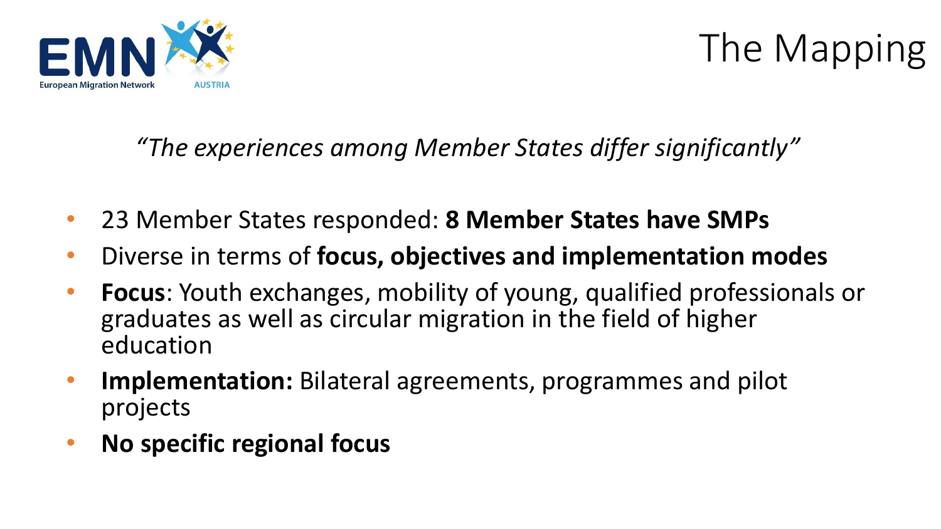

# The Mapping

*"The experiences among Member States differ significantly"*

- 23 Member States responded: **8 Member States have SMPs**
- Diverse in terms of **focus, objectives and implementation modes**
- **Focus**: Youth exchanges, mobility of young, qualified professionals or graduates as well as circular migration in the field of higher education
- **Implementation:** Bilateral agreements, programmes and pilot projects
- **No specific regional focus**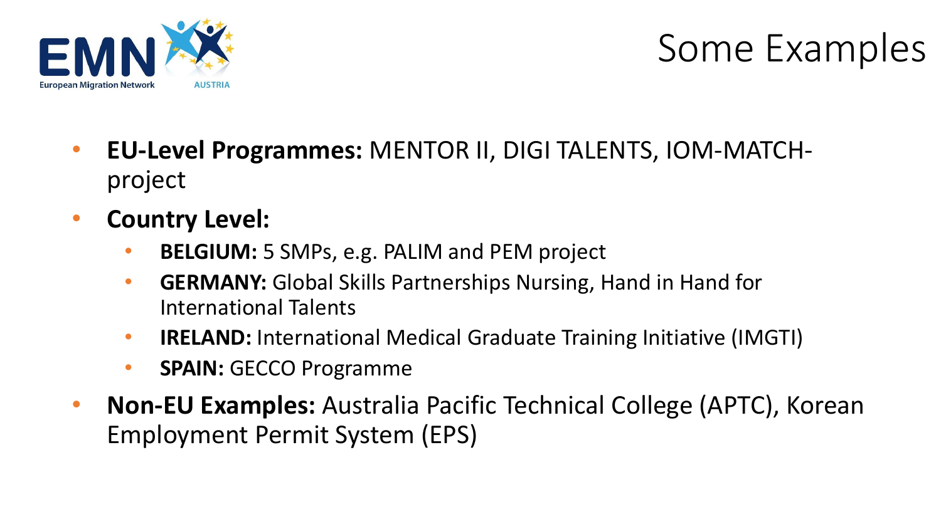

# Some Examples

- **EU-Level Programmes:** MENTOR II, DIGI TALENTS, IOM-MATCHproject
- **Country Level:**
	- **BELGIUM:** 5 SMPs, e.g. PALIM and PEM project
	- **GERMANY:** Global Skills Partnerships Nursing, Hand in Hand for International Talents
	- **IRELAND:** International Medical Graduate Training Initiative (IMGTI)
	- **SPAIN:** GECCO Programme
- **Non-EU Examples:** Australia Pacific Technical College (APTC), Korean Employment Permit System (EPS)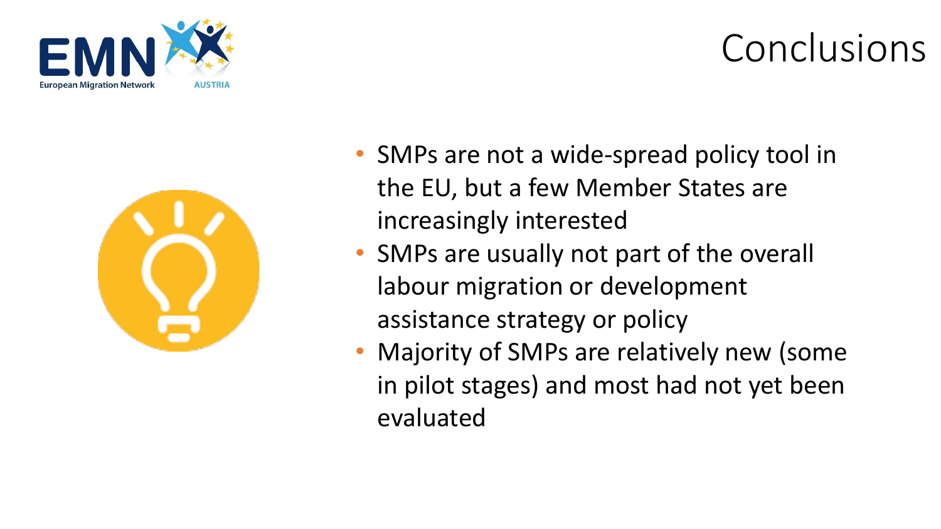



- SMPs are not a wide-spread policy tool in the EU, but a few Member States are increasingly interested
- SMPs are usually not part of the overall labour migration or development assistance strategy or policy
- Majority of SMPs are relatively new (some in pilot stages) and most had not yet been evaluated

# Conclusions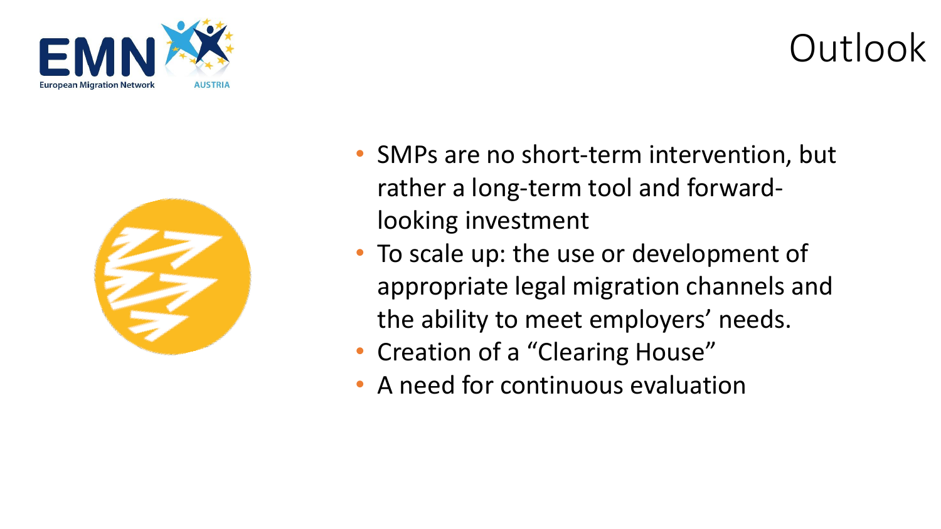



• SMPs are no short-term intervention, but rather a long-term tool and forwardlooking investment

Outlook

- To scale up: the use or development of appropriate legal migration channels and the ability to meet employers' needs.
- Creation of a "Clearing House"
- A need for continuous evaluation